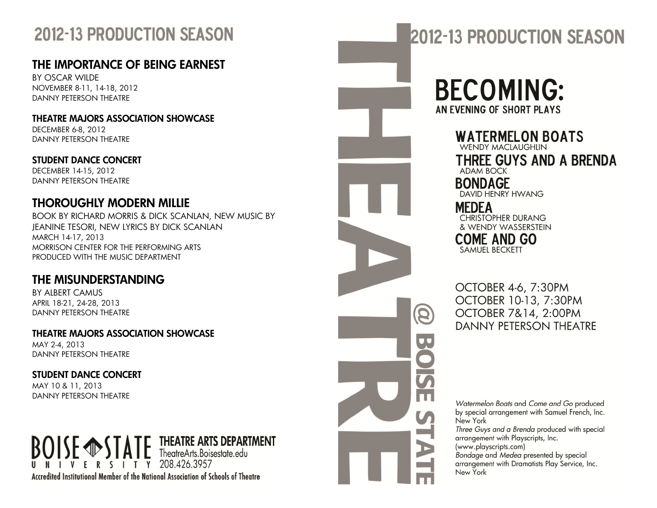## **2012-13 PRODUCTION SEASON**

### THE IMPORTANCE OF BEING EARNEST

BY OSCAR WILDE NOVEMBER 8-11, 14-18, 2012 DANNY PETERSON THEATRE

THEATRE MAJORS ASSOCIATION SHOWCASE DECEMBER 6-8, 2012 DANNY PETERSON THEATRE

STUDENT DANCE CONCERT

DECEMBER 14-15, 2012 DANNY PETERSON THEATRE

### THOROUGHLY MODERN MILLIE

BOOK BY RICHARD MORRIS & DICK SCANLAN, NEW MUSIC BY JEANINE TESORI, NEW LYRICS BY DICK SCANLAN MARCH 14-17, 2013 MORRISON CENTER FOR THE PERFORMING ARTS PRODUCED WITH THE MUSIC DEPARTMENT

### THE MISUNDERSTANDING

BY ALBERT CAMUS APRIL 18-21, 24-28, 2013 DANNY PETERSON THEATRE

### THEATRE MAJORS ASSOCIATION SHOWCASE

MAY 2-4, 2013 DANNY PETERSON THEATRE

### STUDENT DANCE CONCERT

MAY 10 & 11, 2013 DANNY PETERSON THEATRE

### OISE STATE THEATRE ARTS DEPARTMENT  $\overline{1}$   $\overline{1}$   $\overline{Y}$  208.426.3957

Accredited Institutional Member of the National Association of Schools of Theatre

# **2012-13 PRODUCTION SEASON**



**WATERMELON BOATS WENDY MACIAUGHIIN THREE GUYS AND A BRENDA ADAM BOCK BONDAGE DAVID HENRY HWANG** 

**MEDEA** CHRISTOPHER DURANG & WENDY WASSERSTEIN **COME AND GO** SAMUEL BECKETT

OCTOBER 4-6, 7:30PM OCTOBER 10-13, 7:30PM OCTOBER 7&14, 2:00PM **DANNY PETERSON THEATRE** 

Watermelon Boats and Come and Go produced by special arrangement with Samuel French, Inc. New York

Three Guys and a Brenda produced with special arrangement with Playscripts, Inc.

(www.playscripts.com)

 $\mathbf{Q}$ 

Bondage and Medea presented by special arrangement with Dramatists Play Service, Inc. New York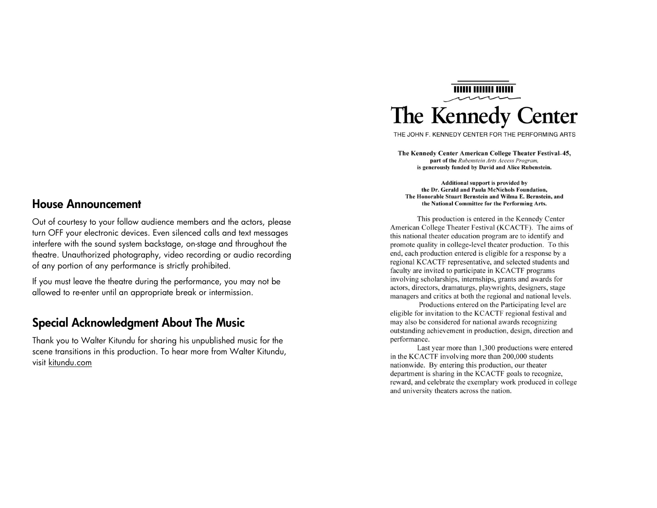### House Announcement

Out of courtesy to your follow audience members and the actors, please turn OFF your electronic devices. Even silenced calls and text messages interfere with the sound system backstage, on-stage and throughout the theatre. Unauthorized photography, video recording or audio recording of any portion of any performance is strictly prohibited.

If you must leave the theatre during the performance, you may not be allowed to re-enter until an appropriate break or intermission.

### Special Acknowledgment About The Music

Thank you to Walter Kitundu for sharing his unpublished music for the scene transitions in this production. To hear more from Walter Kitundu, visit kitundu.com

## **THILL HITTII HITTI** The Kennedy Center

THE JOHN F. KENNEDY CENTER FOR THE PERFORMING ARTS

The Kennedy Center American College Theater Festival-45, part of the Rubenstein Arts Access Program, is generously funded by David and Alice Rubenstein.

Additional support is provided by the Dr. Gerald and Paula McNichols Foundation. The Honorable Stuart Bernstein and Wilma E. Bernstein, and the National Committee for the Performing Arts.

This production is entered in the Kennedy Center American College Theater Festival (KCACTF). The aims of this national theater education program are to identify and promote quality in college-level theater production. To this end, each production entered is eligible for a response by a regional KCACTF representative, and selected students and faculty are invited to participate in KCACTF programs involving scholarships, internships, grants and awards for actors, directors, dramaturgs, playwrights, designers, stage managers and critics at both the regional and national levels.

Productions entered on the Participating level are eligible for invitation to the KCACTF regional festival and may also be considered for national awards recognizing outstanding achievement in production, design, direction and performance.

Last year more than 1,300 productions were entered in the KCACTF involving more than 200,000 students nationwide. By entering this production, our theater department is sharing in the KCACTF goals to recognize, reward, and celebrate the exemplary work produced in college and university theaters across the nation.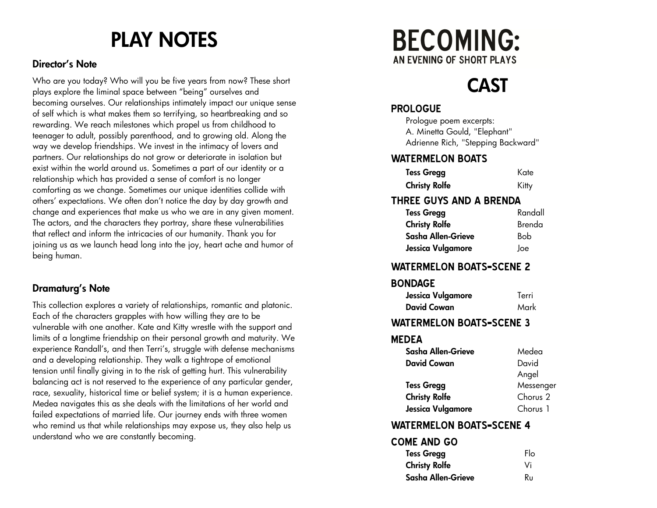# PLAY NOTES

#### Director's Note

Who are you today? Who will you be five years from now? These short plays explore the liminal space between "being" ourselves and becoming ourselves. Our relationships intimately impact our unique sense of self which is what makes them so terrifying, so heartbreaking and so rewarding. We reach milestones which propel us from childhood to teenager to adult, possibly parenthood, and to growing old. Along the way we develop friendships. We invest in the intimacy of lovers and partners. Our relationships do not grow or deteriorate in isolation but exist within the world around us. Sometimes a part of our identity or a relationship which has provided a sense of comfort is no longer comforting as we change. Sometimes our unique identities collide with others' expectations. We often don't notice the day by day growth and change and experiences that make us who we are in any given moment. The actors, and the characters they portray, share these vulnerabilities that reflect and inform the intricacies of our humanity. Thank you for joining us as we launch head long into the joy, heart ache and humor of being human.

### Dramaturg's Note

This collection explores a variety of relationships, romantic and platonic. Each of the characters grapples with how willing they are to be vulnerable with one another. Kate and Kitty wrestle with the support and limits of a longtime friendship on their personal growth and maturity. We experience Randall's, and then Terri's, struggle with defense mechanisms and a developing relationship. They walk a tightrope of emotional tension until finally giving in to the risk of getting hurt. This vulnerability balancing act is not reserved to the experience of any particular gender, race, sexuality, historical time or belief system; it is a human experience. Medea navigates this as she deals with the limitations of her world and failed expectations of married life. Our journey ends with three women who remind us that while relationships may expose us, they also help us understand who we are constantly becoming.

### **BECOMING:** AN EVENING OF SHORT PLAYS

## CAST

### **PROLOGUE**

Prologue poem excerpts: A. Minetta Gould, "Elephant" Adrienne Rich, "Stepping Backward"

#### **WATERMELON BOATS**

| <b>Tess Gregg</b>    | Kate  |
|----------------------|-------|
| <b>Christy Rolfe</b> | Kitty |

### **THREE GUYS AND A BRENDA**

| <b>Tess Gregg</b>    | Randall |
|----------------------|---------|
| <b>Christy Rolfe</b> | Brenda  |
| Sasha Allen-Grieve   | Bob     |
| Jessica Vulgamore    | loe     |

### **WATERMELON BOATS**-**SCENE 2**

### **BONDAGE**

| Jessica Vulgamore  | Terri |
|--------------------|-------|
| <b>David Cowan</b> | Mark  |

### **WATERMELON BOATS**-**SCENE 3**

#### **MEDEA**

| Sasha Allen-Grieve   | Medea     |
|----------------------|-----------|
| <b>David Cowan</b>   | David     |
|                      | Angel     |
| <b>Tess Gregg</b>    | Messenger |
| <b>Christy Rolfe</b> | Chorus 2  |
| Jessica Vulgamore    | Chorus 1  |

### **WATERMELON BOATS**-**SCENE 4**

### **COME AND GO**

| <b>Tess Gregg</b>    | Flo |
|----------------------|-----|
| <b>Christy Rolfe</b> | Vi  |
| Sasha Allen-Grieve   | Rυ  |